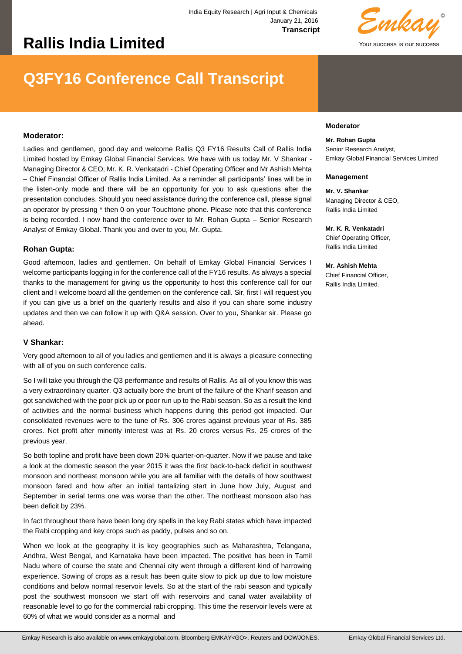# **Rallis India Limited**

© Your success is our success *Emkay*

## **Q3FY16 Conference Call Transcript**

## **Moderator:**

Ladies and gentlemen, good day and welcome Rallis Q3 FY16 Results Call of Rallis India Limited hosted by Emkay Global Financial Services. We have with us today Mr. V Shankar - Managing Director & CEO; Mr. K. R. Venkatadri - Chief Operating Officer and Mr Ashish Mehta – Chief Financial Officer of Rallis India Limited. As a reminder all participants' lines will be in the listen-only mode and there will be an opportunity for you to ask questions after the presentation concludes. Should you need assistance during the conference call, please signal an operator by pressing \* then 0 on your Touchtone phone. Please note that this conference is being recorded. I now hand the conference over to Mr. Rohan Gupta – Senior Research Analyst of Emkay Global. Thank you and over to you, Mr. Gupta.

#### **Rohan Gupta:**

Good afternoon, ladies and gentlemen. On behalf of Emkay Global Financial Services I welcome participants logging in for the conference call of the FY16 results. As always a special thanks to the management for giving us the opportunity to host this conference call for our client and I welcome board all the gentlemen on the conference call. Sir, first I will request you if you can give us a brief on the quarterly results and also if you can share some industry updates and then we can follow it up with Q&A session. Over to you, Shankar sir. Please go ahead.

#### **V Shankar:**

Very good afternoon to all of you ladies and gentlemen and it is always a pleasure connecting with all of you on such conference calls.

So I will take you through the Q3 performance and results of Rallis. As all of you know this was a very extraordinary quarter. Q3 actually bore the brunt of the failure of the Kharif season and got sandwiched with the poor pick up or poor run up to the Rabi season. So as a result the kind of activities and the normal business which happens during this period got impacted. Our consolidated revenues were to the tune of Rs. 306 crores against previous year of Rs. 385 crores. Net profit after minority interest was at Rs. 20 crores versus Rs. 25 crores of the previous year.

So both topline and profit have been down 20% quarter-on-quarter. Now if we pause and take a look at the domestic season the year 2015 it was the first back-to-back deficit in southwest monsoon and northeast monsoon while you are all familiar with the details of how southwest monsoon fared and how after an initial tantalizing start in June how July, August and September in serial terms one was worse than the other. The northeast monsoon also has been deficit by 23%.

In fact throughout there have been long dry spells in the key Rabi states which have impacted the Rabi cropping and key crops such as paddy, pulses and so on.

When we look at the geography it is key geographies such as Maharashtra, Telangana, Andhra, West Bengal, and Karnataka have been impacted. The positive has been in Tamil Nadu where of course the state and Chennai city went through a different kind of harrowing experience. Sowing of crops as a result has been quite slow to pick up due to low moisture conditions and below normal reservoir levels. So at the start of the rabi season and typically post the southwest monsoon we start off with reservoirs and canal water availability of reasonable level to go for the commercial rabi cropping. This time the reservoir levels were at 60% of what we would consider as a normal and

#### **Moderator**

**Mr. Rohan Gupta**  Senior Research Analyst, Emkay Global Financial Services Limited

#### **Management**

**Mr. V. Shankar**  Managing Director & CEO, Rallis India Limited

**Mr. K. R. Venkatadri**  Chief Operating Officer, Rallis India Limited

**Mr. Ashish Mehta**  Chief Financial Officer, Rallis India Limited.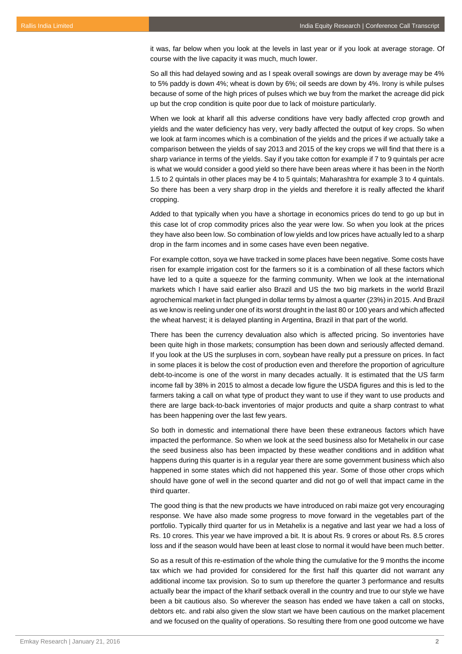it was, far below when you look at the levels in last year or if you look at average storage. Of course with the live capacity it was much, much lower.

So all this had delayed sowing and as I speak overall sowings are down by average may be 4% to 5% paddy is down 4%; wheat is down by 6%; oil seeds are down by 4%. Irony is while pulses because of some of the high prices of pulses which we buy from the market the acreage did pick up but the crop condition is quite poor due to lack of moisture particularly.

When we look at kharif all this adverse conditions have very badly affected crop growth and yields and the water deficiency has very, very badly affected the output of key crops. So when we look at farm incomes which is a combination of the yields and the prices if we actually take a comparison between the yields of say 2013 and 2015 of the key crops we will find that there is a sharp variance in terms of the yields. Say if you take cotton for example if 7 to 9 quintals per acre is what we would consider a good yield so there have been areas where it has been in the North 1.5 to 2 quintals in other places may be 4 to 5 quintals; Maharashtra for example 3 to 4 quintals. So there has been a very sharp drop in the yields and therefore it is really affected the kharif cropping.

Added to that typically when you have a shortage in economics prices do tend to go up but in this case lot of crop commodity prices also the year were low. So when you look at the prices they have also been low. So combination of low yields and low prices have actually led to a sharp drop in the farm incomes and in some cases have even been negative.

For example cotton, soya we have tracked in some places have been negative. Some costs have risen for example irrigation cost for the farmers so it is a combination of all these factors which have led to a quite a squeeze for the farming community. When we look at the international markets which I have said earlier also Brazil and US the two big markets in the world Brazil agrochemical market in fact plunged in dollar terms by almost a quarter (23%) in 2015. And Brazil as we know is reeling under one of its worst drought in the last 80 or 100 years and which affected the wheat harvest; it is delayed planting in Argentina, Brazil in that part of the world.

There has been the currency devaluation also which is affected pricing. So inventories have been quite high in those markets; consumption has been down and seriously affected demand. If you look at the US the surpluses in corn, soybean have really put a pressure on prices. In fact in some places it is below the cost of production even and therefore the proportion of agriculture debt-to-income is one of the worst in many decades actually. It is estimated that the US farm income fall by 38% in 2015 to almost a decade low figure the USDA figures and this is led to the farmers taking a call on what type of product they want to use if they want to use products and there are large back-to-back inventories of major products and quite a sharp contrast to what has been happening over the last few years.

So both in domestic and international there have been these extraneous factors which have impacted the performance. So when we look at the seed business also for Metahelix in our case the seed business also has been impacted by these weather conditions and in addition what happens during this quarter is in a regular year there are some government business which also happened in some states which did not happened this year. Some of those other crops which should have gone of well in the second quarter and did not go of well that impact came in the third quarter.

The good thing is that the new products we have introduced on rabi maize got very encouraging response. We have also made some progress to move forward in the vegetables part of the portfolio. Typically third quarter for us in Metahelix is a negative and last year we had a loss of Rs. 10 crores. This year we have improved a bit. It is about Rs. 9 crores or about Rs. 8.5 crores loss and if the season would have been at least close to normal it would have been much better.

So as a result of this re-estimation of the whole thing the cumulative for the 9 months the income tax which we had provided for considered for the first half this quarter did not warrant any additional income tax provision. So to sum up therefore the quarter 3 performance and results actually bear the impact of the kharif setback overall in the country and true to our style we have been a bit cautious also. So wherever the season has ended we have taken a call on stocks, debtors etc. and rabi also given the slow start we have been cautious on the market placement and we focused on the quality of operations. So resulting there from one good outcome we have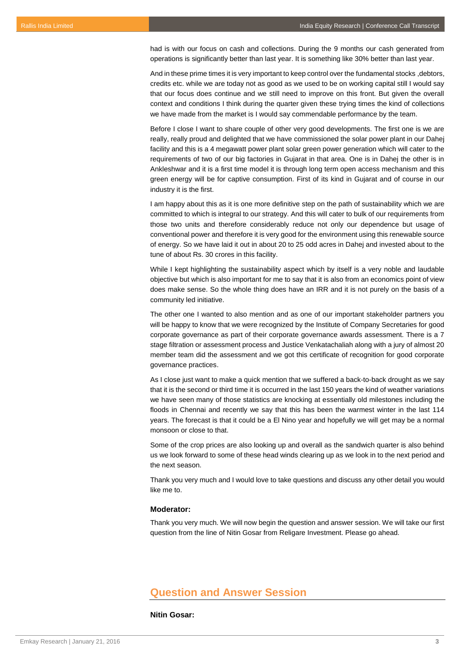had is with our focus on cash and collections. During the 9 months our cash generated from operations is significantly better than last year. It is something like 30% better than last year.

And in these prime times it is very important to keep control over the fundamental stocks , debtors, credits etc. while we are today not as good as we used to be on working capital still I would say that our focus does continue and we still need to improve on this front. But given the overall context and conditions I think during the quarter given these trying times the kind of collections we have made from the market is I would say commendable performance by the team.

Before I close I want to share couple of other very good developments. The first one is we are really, really proud and delighted that we have commissioned the solar power plant in our Dahej facility and this is a 4 megawatt power plant solar green power generation which will cater to the requirements of two of our big factories in Gujarat in that area. One is in Dahej the other is in Ankleshwar and it is a first time model it is through long term open access mechanism and this green energy will be for captive consumption. First of its kind in Gujarat and of course in our industry it is the first.

I am happy about this as it is one more definitive step on the path of sustainability which we are committed to which is integral to our strategy. And this will cater to bulk of our requirements from those two units and therefore considerably reduce not only our dependence but usage of conventional power and therefore it is very good for the environment using this renewable source of energy. So we have laid it out in about 20 to 25 odd acres in Dahej and invested about to the tune of about Rs. 30 crores in this facility.

While I kept highlighting the sustainability aspect which by itself is a very noble and laudable objective but which is also important for me to say that it is also from an economics point of view does make sense. So the whole thing does have an IRR and it is not purely on the basis of a community led initiative.

The other one I wanted to also mention and as one of our important stakeholder partners you will be happy to know that we were recognized by the Institute of Company Secretaries for good corporate governance as part of their corporate governance awards assessment. There is a 7 stage filtration or assessment process and Justice Venkatachaliah along with a jury of almost 20 member team did the assessment and we got this certificate of recognition for good corporate governance practices.

As I close just want to make a quick mention that we suffered a back-to-back drought as we say that it is the second or third time it is occurred in the last 150 years the kind of weather variations we have seen many of those statistics are knocking at essentially old milestones including the floods in Chennai and recently we say that this has been the warmest winter in the last 114 years. The forecast is that it could be a El Nino year and hopefully we will get may be a normal monsoon or close to that.

Some of the crop prices are also looking up and overall as the sandwich quarter is also behind us we look forward to some of these head winds clearing up as we look in to the next period and the next season.

Thank you very much and I would love to take questions and discuss any other detail you would like me to.

## **Moderator:**

Thank you very much. We will now begin the question and answer session. We will take our first question from the line of Nitin Gosar from Religare Investment. Please go ahead.

## **Question and Answer Session**

#### **Nitin Gosar:**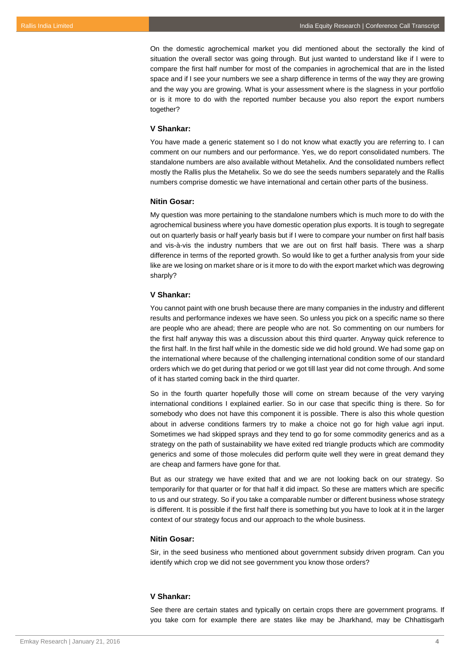On the domestic agrochemical market you did mentioned about the sectorally the kind of situation the overall sector was going through. But just wanted to understand like if I were to compare the first half number for most of the companies in agrochemical that are in the listed space and if I see your numbers we see a sharp difference in terms of the way they are growing and the way you are growing. What is your assessment where is the slagness in your portfolio or is it more to do with the reported number because you also report the export numbers together?

## **V Shankar:**

You have made a generic statement so I do not know what exactly you are referring to. I can comment on our numbers and our performance. Yes, we do report consolidated numbers. The standalone numbers are also available without Metahelix. And the consolidated numbers reflect mostly the Rallis plus the Metahelix. So we do see the seeds numbers separately and the Rallis numbers comprise domestic we have international and certain other parts of the business.

## **Nitin Gosar:**

My question was more pertaining to the standalone numbers which is much more to do with the agrochemical business where you have domestic operation plus exports. It is tough to segregate out on quarterly basis or half yearly basis but if I were to compare your number on first half basis and vis-à-vis the industry numbers that we are out on first half basis. There was a sharp difference in terms of the reported growth. So would like to get a further analysis from your side like are we losing on market share or is it more to do with the export market which was degrowing sharply?

## **V Shankar:**

You cannot paint with one brush because there are many companies in the industry and different results and performance indexes we have seen. So unless you pick on a specific name so there are people who are ahead; there are people who are not. So commenting on our numbers for the first half anyway this was a discussion about this third quarter. Anyway quick reference to the first half. In the first half while in the domestic side we did hold ground. We had some gap on the international where because of the challenging international condition some of our standard orders which we do get during that period or we got till last year did not come through. And some of it has started coming back in the third quarter.

So in the fourth quarter hopefully those will come on stream because of the very varying international conditions I explained earlier. So in our case that specific thing is there. So for somebody who does not have this component it is possible. There is also this whole question about in adverse conditions farmers try to make a choice not go for high value agri input. Sometimes we had skipped sprays and they tend to go for some commodity generics and as a strategy on the path of sustainability we have exited red triangle products which are commodity generics and some of those molecules did perform quite well they were in great demand they are cheap and farmers have gone for that.

But as our strategy we have exited that and we are not looking back on our strategy. So temporarily for that quarter or for that half it did impact. So these are matters which are specific to us and our strategy. So if you take a comparable number or different business whose strategy is different. It is possible if the first half there is something but you have to look at it in the larger context of our strategy focus and our approach to the whole business.

## **Nitin Gosar:**

Sir, in the seed business who mentioned about government subsidy driven program. Can you identify which crop we did not see government you know those orders?

## **V Shankar:**

See there are certain states and typically on certain crops there are government programs. If you take corn for example there are states like may be Jharkhand, may be Chhattisgarh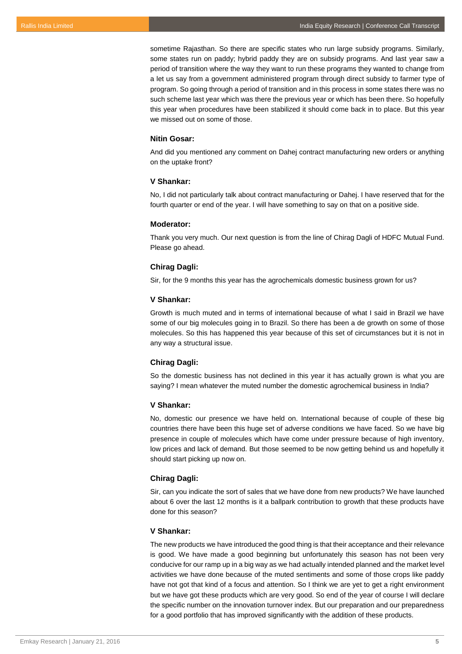sometime Rajasthan. So there are specific states who run large subsidy programs. Similarly, some states run on paddy; hybrid paddy they are on subsidy programs. And last year saw a period of transition where the way they want to run these programs they wanted to change from a let us say from a government administered program through direct subsidy to farmer type of program. So going through a period of transition and in this process in some states there was no such scheme last year which was there the previous year or which has been there. So hopefully this year when procedures have been stabilized it should come back in to place. But this year we missed out on some of those.

#### **Nitin Gosar:**

And did you mentioned any comment on Dahej contract manufacturing new orders or anything on the uptake front?

## **V Shankar:**

No, I did not particularly talk about contract manufacturing or Dahej. I have reserved that for the fourth quarter or end of the year. I will have something to say on that on a positive side.

#### **Moderator:**

Thank you very much. Our next question is from the line of Chirag Dagli of HDFC Mutual Fund. Please go ahead.

## **Chirag Dagli:**

Sir, for the 9 months this year has the agrochemicals domestic business grown for us?

## **V Shankar:**

Growth is much muted and in terms of international because of what I said in Brazil we have some of our big molecules going in to Brazil. So there has been a de growth on some of those molecules. So this has happened this year because of this set of circumstances but it is not in any way a structural issue.

## **Chirag Dagli:**

So the domestic business has not declined in this year it has actually grown is what you are saying? I mean whatever the muted number the domestic agrochemical business in India?

## **V Shankar:**

No, domestic our presence we have held on. International because of couple of these big countries there have been this huge set of adverse conditions we have faced. So we have big presence in couple of molecules which have come under pressure because of high inventory, low prices and lack of demand. But those seemed to be now getting behind us and hopefully it should start picking up now on.

#### **Chirag Dagli:**

Sir, can you indicate the sort of sales that we have done from new products? We have launched about 6 over the last 12 months is it a ballpark contribution to growth that these products have done for this season?

## **V Shankar:**

The new products we have introduced the good thing is that their acceptance and their relevance is good. We have made a good beginning but unfortunately this season has not been very conducive for our ramp up in a big way as we had actually intended planned and the market level activities we have done because of the muted sentiments and some of those crops like paddy have not got that kind of a focus and attention. So I think we are yet to get a right environment but we have got these products which are very good. So end of the year of course I will declare the specific number on the innovation turnover index. But our preparation and our preparedness for a good portfolio that has improved significantly with the addition of these products.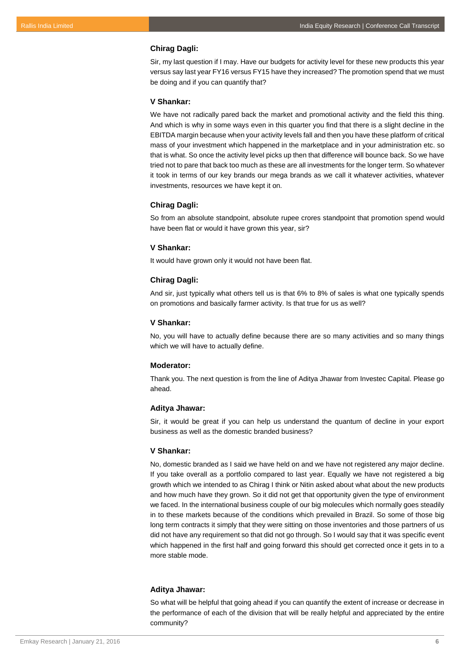#### **Chirag Dagli:**

Sir, my last question if I may. Have our budgets for activity level for these new products this year versus say last year FY16 versus FY15 have they increased? The promotion spend that we must be doing and if you can quantify that?

#### **V Shankar:**

We have not radically pared back the market and promotional activity and the field this thing. And which is why in some ways even in this quarter you find that there is a slight decline in the EBITDA margin because when your activity levels fall and then you have these platform of critical mass of your investment which happened in the marketplace and in your administration etc. so that is what. So once the activity level picks up then that difference will bounce back. So we have tried not to pare that back too much as these are all investments for the longer term. So whatever it took in terms of our key brands our mega brands as we call it whatever activities, whatever investments, resources we have kept it on.

#### **Chirag Dagli:**

So from an absolute standpoint, absolute rupee crores standpoint that promotion spend would have been flat or would it have grown this year, sir?

#### **V Shankar:**

It would have grown only it would not have been flat.

#### **Chirag Dagli:**

And sir, just typically what others tell us is that 6% to 8% of sales is what one typically spends on promotions and basically farmer activity. Is that true for us as well?

## **V Shankar:**

No, you will have to actually define because there are so many activities and so many things which we will have to actually define.

#### **Moderator:**

Thank you. The next question is from the line of Aditya Jhawar from Investec Capital. Please go ahead.

#### **Aditya Jhawar:**

Sir, it would be great if you can help us understand the quantum of decline in your export business as well as the domestic branded business?

## **V Shankar:**

No, domestic branded as I said we have held on and we have not registered any major decline. If you take overall as a portfolio compared to last year. Equally we have not registered a big growth which we intended to as Chirag I think or Nitin asked about what about the new products and how much have they grown. So it did not get that opportunity given the type of environment we faced. In the international business couple of our big molecules which normally goes steadily in to these markets because of the conditions which prevailed in Brazil. So some of those big long term contracts it simply that they were sitting on those inventories and those partners of us did not have any requirement so that did not go through. So I would say that it was specific event which happened in the first half and going forward this should get corrected once it gets in to a more stable mode.

## **Aditya Jhawar:**

So what will be helpful that going ahead if you can quantify the extent of increase or decrease in the performance of each of the division that will be really helpful and appreciated by the entire community?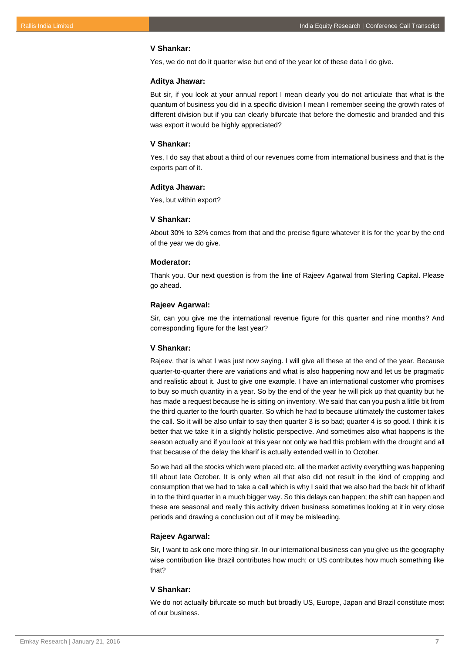#### **V Shankar:**

Yes, we do not do it quarter wise but end of the year lot of these data I do give.

## **Aditya Jhawar:**

But sir, if you look at your annual report I mean clearly you do not articulate that what is the quantum of business you did in a specific division I mean I remember seeing the growth rates of different division but if you can clearly bifurcate that before the domestic and branded and this was export it would be highly appreciated?

#### **V Shankar:**

Yes, I do say that about a third of our revenues come from international business and that is the exports part of it.

#### **Aditya Jhawar:**

Yes, but within export?

#### **V Shankar:**

About 30% to 32% comes from that and the precise figure whatever it is for the year by the end of the year we do give.

## **Moderator:**

Thank you. Our next question is from the line of Rajeev Agarwal from Sterling Capital. Please go ahead.

#### **Rajeev Agarwal:**

Sir, can you give me the international revenue figure for this quarter and nine months? And corresponding figure for the last year?

## **V Shankar:**

Rajeev, that is what I was just now saying. I will give all these at the end of the year. Because quarter-to-quarter there are variations and what is also happening now and let us be pragmatic and realistic about it. Just to give one example. I have an international customer who promises to buy so much quantity in a year. So by the end of the year he will pick up that quantity but he has made a request because he is sitting on inventory. We said that can you push a little bit from the third quarter to the fourth quarter. So which he had to because ultimately the customer takes the call. So it will be also unfair to say then quarter 3 is so bad; quarter 4 is so good. I think it is better that we take it in a slightly holistic perspective. And sometimes also what happens is the season actually and if you look at this year not only we had this problem with the drought and all that because of the delay the kharif is actually extended well in to October.

So we had all the stocks which were placed etc. all the market activity everything was happening till about late October. It is only when all that also did not result in the kind of cropping and consumption that we had to take a call which is why I said that we also had the back hit of kharif in to the third quarter in a much bigger way. So this delays can happen; the shift can happen and these are seasonal and really this activity driven business sometimes looking at it in very close periods and drawing a conclusion out of it may be misleading.

## **Rajeev Agarwal:**

Sir, I want to ask one more thing sir. In our international business can you give us the geography wise contribution like Brazil contributes how much; or US contributes how much something like that?

## **V Shankar:**

We do not actually bifurcate so much but broadly US, Europe, Japan and Brazil constitute most of our business.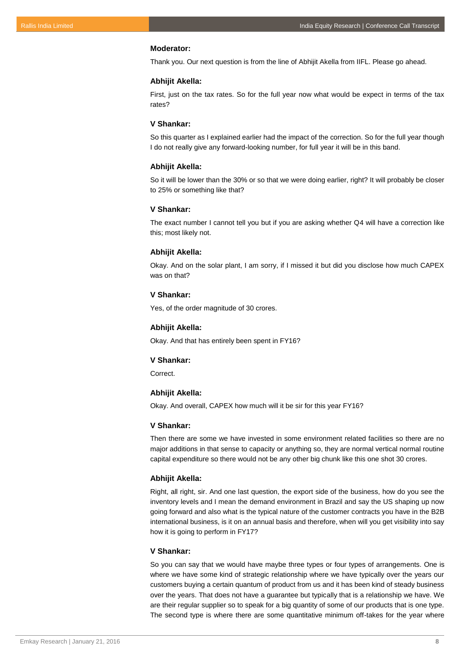#### **Moderator:**

Thank you. Our next question is from the line of Abhijit Akella from IIFL. Please go ahead.

## **Abhijit Akella:**

First, just on the tax rates. So for the full year now what would be expect in terms of the tax rates?

## **V Shankar:**

So this quarter as I explained earlier had the impact of the correction. So for the full year though I do not really give any forward-looking number, for full year it will be in this band.

## **Abhijit Akella:**

So it will be lower than the 30% or so that we were doing earlier, right? It will probably be closer to 25% or something like that?

## **V Shankar:**

The exact number I cannot tell you but if you are asking whether Q4 will have a correction like this; most likely not.

#### **Abhijit Akella:**

Okay. And on the solar plant, I am sorry, if I missed it but did you disclose how much CAPEX was on that?

## **V Shankar:**

Yes, of the order magnitude of 30 crores.

## **Abhijit Akella:**

Okay. And that has entirely been spent in FY16?

#### **V Shankar:**

Correct.

#### **Abhijit Akella:**

Okay. And overall, CAPEX how much will it be sir for this year FY16?

## **V Shankar:**

Then there are some we have invested in some environment related facilities so there are no major additions in that sense to capacity or anything so, they are normal vertical normal routine capital expenditure so there would not be any other big chunk like this one shot 30 crores.

## **Abhijit Akella:**

Right, all right, sir. And one last question, the export side of the business, how do you see the inventory levels and I mean the demand environment in Brazil and say the US shaping up now going forward and also what is the typical nature of the customer contracts you have in the B2B international business, is it on an annual basis and therefore, when will you get visibility into say how it is going to perform in FY17?

#### **V Shankar:**

So you can say that we would have maybe three types or four types of arrangements. One is where we have some kind of strategic relationship where we have typically over the years our customers buying a certain quantum of product from us and it has been kind of steady business over the years. That does not have a guarantee but typically that is a relationship we have. We are their regular supplier so to speak for a big quantity of some of our products that is one type. The second type is where there are some quantitative minimum off-takes for the year where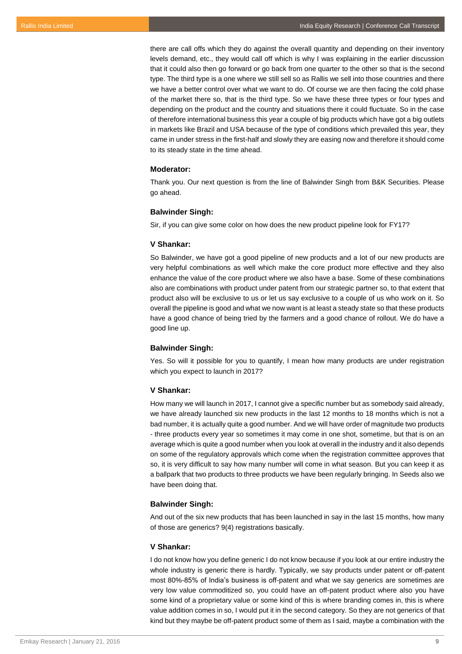there are call offs which they do against the overall quantity and depending on their inventory levels demand, etc., they would call off which is why I was explaining in the earlier discussion that it could also then go forward or go back from one quarter to the other so that is the second type. The third type is a one where we still sell so as Rallis we sell into those countries and there we have a better control over what we want to do. Of course we are then facing the cold phase of the market there so, that is the third type. So we have these three types or four types and depending on the product and the country and situations there it could fluctuate. So in the case of therefore international business this year a couple of big products which have got a big outlets in markets like Brazil and USA because of the type of conditions which prevailed this year, they came in under stress in the first-half and slowly they are easing now and therefore it should come to its steady state in the time ahead.

#### **Moderator:**

Thank you. Our next question is from the line of Balwinder Singh from B&K Securities. Please go ahead.

## **Balwinder Singh:**

Sir, if you can give some color on how does the new product pipeline look for FY17?

## **V Shankar:**

So Balwinder, we have got a good pipeline of new products and a lot of our new products are very helpful combinations as well which make the core product more effective and they also enhance the value of the core product where we also have a base. Some of these combinations also are combinations with product under patent from our strategic partner so, to that extent that product also will be exclusive to us or let us say exclusive to a couple of us who work on it. So overall the pipeline is good and what we now want is at least a steady state so that these products have a good chance of being tried by the farmers and a good chance of rollout. We do have a good line up.

## **Balwinder Singh:**

Yes. So will it possible for you to quantify, I mean how many products are under registration which you expect to launch in 2017?

## **V Shankar:**

How many we will launch in 2017, I cannot give a specific number but as somebody said already, we have already launched six new products in the last 12 months to 18 months which is not a bad number, it is actually quite a good number. And we will have order of magnitude two products - three products every year so sometimes it may come in one shot, sometime, but that is on an average which is quite a good number when you look at overall in the industry and it also depends on some of the regulatory approvals which come when the registration committee approves that so, it is very difficult to say how many number will come in what season. But you can keep it as a ballpark that two products to three products we have been regularly bringing. In Seeds also we have been doing that.

#### **Balwinder Singh:**

And out of the six new products that has been launched in say in the last 15 months, how many of those are generics? 9(4) registrations basically.

#### **V Shankar:**

I do not know how you define generic I do not know because if you look at our entire industry the whole industry is generic there is hardly. Typically, we say products under patent or off-patent most 80%-85% of India's business is off-patent and what we say generics are sometimes are very low value commoditized so, you could have an off-patent product where also you have some kind of a proprietary value or some kind of this is where branding comes in, this is where value addition comes in so, I would put it in the second category. So they are not generics of that kind but they maybe be off-patent product some of them as I said, maybe a combination with the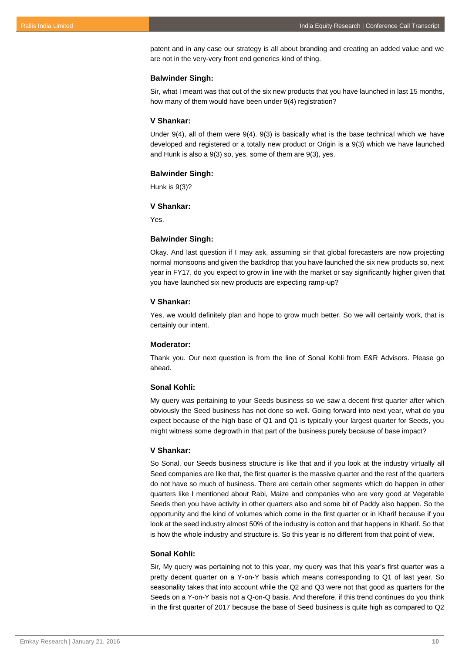patent and in any case our strategy is all about branding and creating an added value and we are not in the very-very front end generics kind of thing.

#### **Balwinder Singh:**

Sir, what I meant was that out of the six new products that you have launched in last 15 months, how many of them would have been under 9(4) registration?

#### **V Shankar:**

Under 9(4), all of them were 9(4). 9(3) is basically what is the base technical which we have developed and registered or a totally new product or Origin is a 9(3) which we have launched and Hunk is also a 9(3) so, yes, some of them are 9(3), yes.

#### **Balwinder Singh:**

Hunk is 9(3)?

#### **V Shankar:**

Yes.

#### **Balwinder Singh:**

Okay. And last question if I may ask, assuming sir that global forecasters are now projecting normal monsoons and given the backdrop that you have launched the six new products so, next year in FY17, do you expect to grow in line with the market or say significantly higher given that you have launched six new products are expecting ramp-up?

## **V Shankar:**

Yes, we would definitely plan and hope to grow much better. So we will certainly work, that is certainly our intent.

## **Moderator:**

Thank you. Our next question is from the line of Sonal Kohli from E&R Advisors. Please go ahead.

#### **Sonal Kohli:**

My query was pertaining to your Seeds business so we saw a decent first quarter after which obviously the Seed business has not done so well. Going forward into next year, what do you expect because of the high base of Q1 and Q1 is typically your largest quarter for Seeds, you might witness some degrowth in that part of the business purely because of base impact?

#### **V Shankar:**

So Sonal, our Seeds business structure is like that and if you look at the industry virtually all Seed companies are like that, the first quarter is the massive quarter and the rest of the quarters do not have so much of business. There are certain other segments which do happen in other quarters like I mentioned about Rabi, Maize and companies who are very good at Vegetable Seeds then you have activity in other quarters also and some bit of Paddy also happen. So the opportunity and the kind of volumes which come in the first quarter or in Kharif because if you look at the seed industry almost 50% of the industry is cotton and that happens in Kharif. So that is how the whole industry and structure is. So this year is no different from that point of view.

#### **Sonal Kohli:**

Sir, My query was pertaining not to this year, my query was that this year's first quarter was a pretty decent quarter on a Y-on-Y basis which means corresponding to Q1 of last year. So seasonality takes that into account while the Q2 and Q3 were not that good as quarters for the Seeds on a Y-on-Y basis not a Q-on-Q basis. And therefore, if this trend continues do you think in the first quarter of 2017 because the base of Seed business is quite high as compared to Q2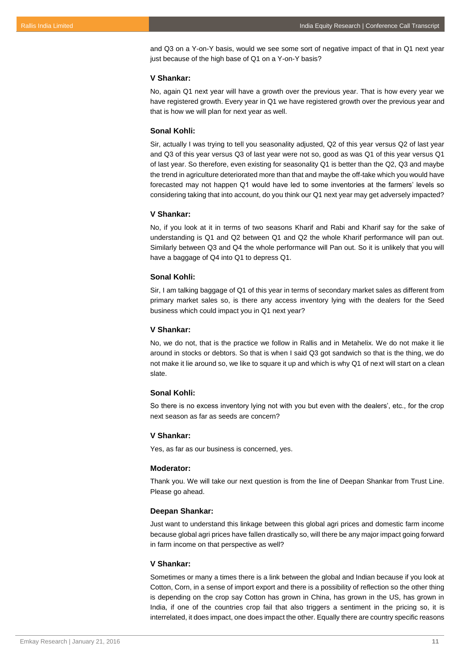and Q3 on a Y-on-Y basis, would we see some sort of negative impact of that in Q1 next year just because of the high base of Q1 on a Y-on-Y basis?

#### **V Shankar:**

No, again Q1 next year will have a growth over the previous year. That is how every year we have registered growth. Every year in Q1 we have registered growth over the previous year and that is how we will plan for next year as well.

## **Sonal Kohli:**

Sir, actually I was trying to tell you seasonality adjusted, Q2 of this year versus Q2 of last year and Q3 of this year versus Q3 of last year were not so, good as was Q1 of this year versus Q1 of last year. So therefore, even existing for seasonality Q1 is better than the Q2, Q3 and maybe the trend in agriculture deteriorated more than that and maybe the off-take which you would have forecasted may not happen Q1 would have led to some inventories at the farmers' levels so considering taking that into account, do you think our Q1 next year may get adversely impacted?

#### **V Shankar:**

No, if you look at it in terms of two seasons Kharif and Rabi and Kharif say for the sake of understanding is Q1 and Q2 between Q1 and Q2 the whole Kharif performance will pan out. Similarly between Q3 and Q4 the whole performance will Pan out. So it is unlikely that you will have a baggage of Q4 into Q1 to depress Q1.

## **Sonal Kohli:**

Sir, I am talking baggage of Q1 of this year in terms of secondary market sales as different from primary market sales so, is there any access inventory lying with the dealers for the Seed business which could impact you in Q1 next year?

## **V Shankar:**

No, we do not, that is the practice we follow in Rallis and in Metahelix. We do not make it lie around in stocks or debtors. So that is when I said Q3 got sandwich so that is the thing, we do not make it lie around so, we like to square it up and which is why Q1 of next will start on a clean slate.

#### **Sonal Kohli:**

So there is no excess inventory lying not with you but even with the dealers', etc., for the crop next season as far as seeds are concern?

#### **V Shankar:**

Yes, as far as our business is concerned, yes.

#### **Moderator:**

Thank you. We will take our next question is from the line of Deepan Shankar from Trust Line. Please go ahead.

#### **Deepan Shankar:**

Just want to understand this linkage between this global agri prices and domestic farm income because global agri prices have fallen drastically so, will there be any major impact going forward in farm income on that perspective as well?

## **V Shankar:**

Sometimes or many a times there is a link between the global and Indian because if you look at Cotton, Corn, in a sense of import export and there is a possibility of reflection so the other thing is depending on the crop say Cotton has grown in China, has grown in the US, has grown in India, if one of the countries crop fail that also triggers a sentiment in the pricing so, it is interrelated, it does impact, one does impact the other. Equally there are country specific reasons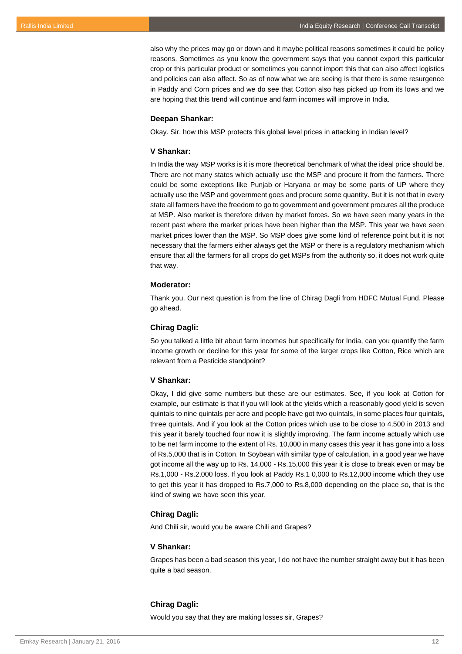also why the prices may go or down and it maybe political reasons sometimes it could be policy reasons. Sometimes as you know the government says that you cannot export this particular crop or this particular product or sometimes you cannot import this that can also affect logistics and policies can also affect. So as of now what we are seeing is that there is some resurgence in Paddy and Corn prices and we do see that Cotton also has picked up from its lows and we are hoping that this trend will continue and farm incomes will improve in India.

#### **Deepan Shankar:**

Okay. Sir, how this MSP protects this global level prices in attacking in Indian level?

## **V Shankar:**

In India the way MSP works is it is more theoretical benchmark of what the ideal price should be. There are not many states which actually use the MSP and procure it from the farmers. There could be some exceptions like Punjab or Haryana or may be some parts of UP where they actually use the MSP and government goes and procure some quantity. But it is not that in every state all farmers have the freedom to go to government and government procures all the produce at MSP. Also market is therefore driven by market forces. So we have seen many years in the recent past where the market prices have been higher than the MSP. This year we have seen market prices lower than the MSP. So MSP does give some kind of reference point but it is not necessary that the farmers either always get the MSP or there is a regulatory mechanism which ensure that all the farmers for all crops do get MSPs from the authority so, it does not work quite that way.

#### **Moderator:**

Thank you. Our next question is from the line of Chirag Dagli from HDFC Mutual Fund. Please go ahead.

## **Chirag Dagli:**

So you talked a little bit about farm incomes but specifically for India, can you quantify the farm income growth or decline for this year for some of the larger crops like Cotton, Rice which are relevant from a Pesticide standpoint?

#### **V Shankar:**

Okay, I did give some numbers but these are our estimates. See, if you look at Cotton for example, our estimate is that if you will look at the yields which a reasonably good yield is seven quintals to nine quintals per acre and people have got two quintals, in some places four quintals, three quintals. And if you look at the Cotton prices which use to be close to 4,500 in 2013 and this year it barely touched four now it is slightly improving. The farm income actually which use to be net farm income to the extent of Rs. 10,000 in many cases this year it has gone into a loss of Rs.5,000 that is in Cotton. In Soybean with similar type of calculation, in a good year we have got income all the way up to Rs. 14,000 - Rs.15,000 this year it is close to break even or may be Rs.1,000 - Rs.2,000 loss. If you look at Paddy Rs.1 0,000 to Rs.12,000 income which they use to get this year it has dropped to Rs.7,000 to Rs.8,000 depending on the place so, that is the kind of swing we have seen this year.

## **Chirag Dagli:**

And Chili sir, would you be aware Chili and Grapes?

#### **V Shankar:**

Grapes has been a bad season this year, I do not have the number straight away but it has been quite a bad season.

## **Chirag Dagli:**

Would you say that they are making losses sir, Grapes?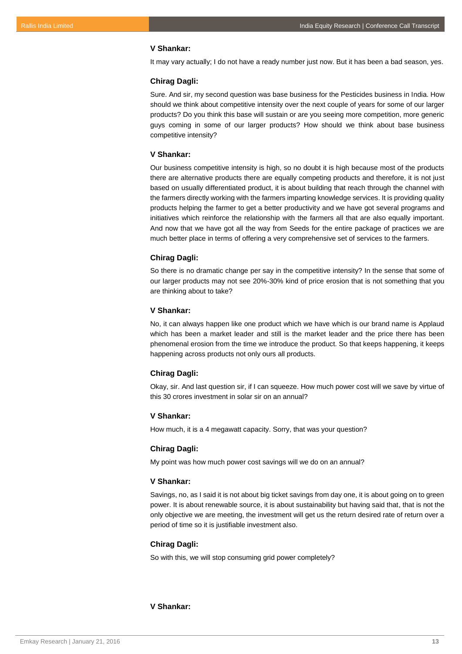## **V Shankar:**

It may vary actually; I do not have a ready number just now. But it has been a bad season, yes.

## **Chirag Dagli:**

Sure. And sir, my second question was base business for the Pesticides business in India. How should we think about competitive intensity over the next couple of years for some of our larger products? Do you think this base will sustain or are you seeing more competition, more generic guys coming in some of our larger products? How should we think about base business competitive intensity?

#### **V Shankar:**

Our business competitive intensity is high, so no doubt it is high because most of the products there are alternative products there are equally competing products and therefore, it is not just based on usually differentiated product, it is about building that reach through the channel with the farmers directly working with the farmers imparting knowledge services. It is providing quality products helping the farmer to get a better productivity and we have got several programs and initiatives which reinforce the relationship with the farmers all that are also equally important. And now that we have got all the way from Seeds for the entire package of practices we are much better place in terms of offering a very comprehensive set of services to the farmers.

## **Chirag Dagli:**

So there is no dramatic change per say in the competitive intensity? In the sense that some of our larger products may not see 20%-30% kind of price erosion that is not something that you are thinking about to take?

## **V Shankar:**

No, it can always happen like one product which we have which is our brand name is Applaud which has been a market leader and still is the market leader and the price there has been phenomenal erosion from the time we introduce the product. So that keeps happening, it keeps happening across products not only ours all products.

## **Chirag Dagli:**

Okay, sir. And last question sir, if I can squeeze. How much power cost will we save by virtue of this 30 crores investment in solar sir on an annual?

#### **V Shankar:**

How much, it is a 4 megawatt capacity. Sorry, that was your question?

## **Chirag Dagli:**

My point was how much power cost savings will we do on an annual?

#### **V Shankar:**

Savings, no, as I said it is not about big ticket savings from day one, it is about going on to green power. It is about renewable source, it is about sustainability but having said that, that is not the only objective we are meeting, the investment will get us the return desired rate of return over a period of time so it is justifiable investment also.

#### **Chirag Dagli:**

So with this, we will stop consuming grid power completely?

## **V Shankar:**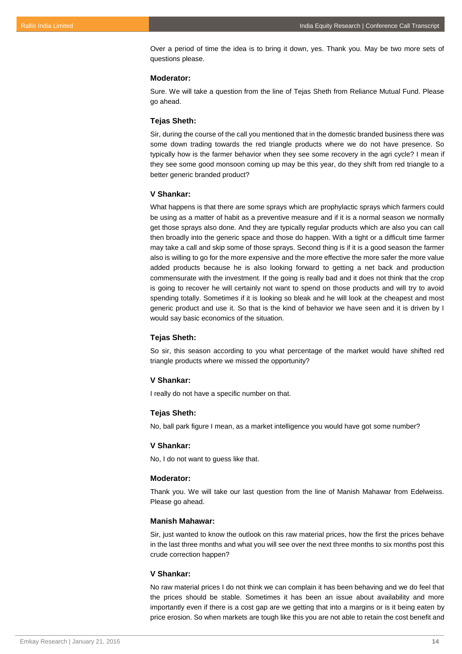Over a period of time the idea is to bring it down, yes. Thank you. May be two more sets of questions please.

#### **Moderator:**

Sure. We will take a question from the line of Tejas Sheth from Reliance Mutual Fund. Please go ahead.

#### **Tejas Sheth:**

Sir, during the course of the call you mentioned that in the domestic branded business there was some down trading towards the red triangle products where we do not have presence. So typically how is the farmer behavior when they see some recovery in the agri cycle? I mean if they see some good monsoon coming up may be this year, do they shift from red triangle to a better generic branded product?

#### **V Shankar:**

What happens is that there are some sprays which are prophylactic sprays which farmers could be using as a matter of habit as a preventive measure and if it is a normal season we normally get those sprays also done. And they are typically regular products which are also you can call then broadly into the generic space and those do happen. With a tight or a difficult time farmer may take a call and skip some of those sprays. Second thing is if it is a good season the farmer also is willing to go for the more expensive and the more effective the more safer the more value added products because he is also looking forward to getting a net back and production commensurate with the investment. If the going is really bad and it does not think that the crop is going to recover he will certainly not want to spend on those products and will try to avoid spending totally. Sometimes if it is looking so bleak and he will look at the cheapest and most generic product and use it. So that is the kind of behavior we have seen and it is driven by I would say basic economics of the situation.

#### **Tejas Sheth:**

So sir, this season according to you what percentage of the market would have shifted red triangle products where we missed the opportunity?

#### **V Shankar:**

I really do not have a specific number on that.

#### **Tejas Sheth:**

No, ball park figure I mean, as a market intelligence you would have got some number?

#### **V Shankar:**

No, I do not want to guess like that.

#### **Moderator:**

Thank you. We will take our last question from the line of Manish Mahawar from Edelweiss. Please go ahead.

#### **Manish Mahawar:**

Sir, just wanted to know the outlook on this raw material prices, how the first the prices behave in the last three months and what you will see over the next three months to six months post this crude correction happen?

## **V Shankar:**

No raw material prices I do not think we can complain it has been behaving and we do feel that the prices should be stable. Sometimes it has been an issue about availability and more importantly even if there is a cost gap are we getting that into a margins or is it being eaten by price erosion. So when markets are tough like this you are not able to retain the cost benefit and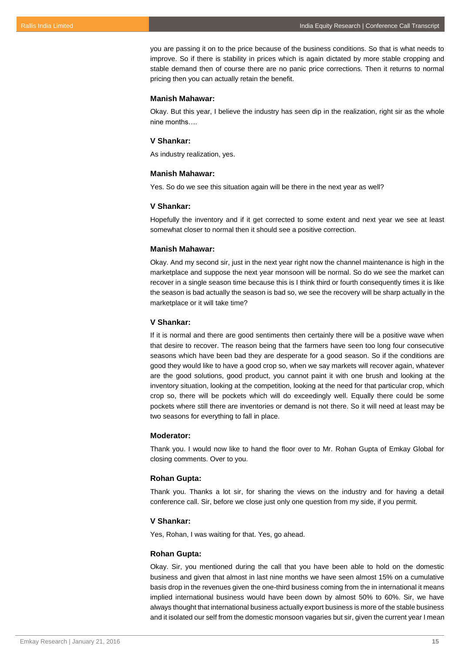you are passing it on to the price because of the business conditions. So that is what needs to improve. So if there is stability in prices which is again dictated by more stable cropping and stable demand then of course there are no panic price corrections. Then it returns to normal pricing then you can actually retain the benefit.

## **Manish Mahawar:**

Okay. But this year, I believe the industry has seen dip in the realization, right sir as the whole nine months….

#### **V Shankar:**

As industry realization, yes.

#### **Manish Mahawar:**

Yes. So do we see this situation again will be there in the next year as well?

#### **V Shankar:**

Hopefully the inventory and if it get corrected to some extent and next year we see at least somewhat closer to normal then it should see a positive correction.

#### **Manish Mahawar:**

Okay. And my second sir, just in the next year right now the channel maintenance is high in the marketplace and suppose the next year monsoon will be normal. So do we see the market can recover in a single season time because this is I think third or fourth consequently times it is like the season is bad actually the season is bad so, we see the recovery will be sharp actually in the marketplace or it will take time?

## **V Shankar:**

If it is normal and there are good sentiments then certainly there will be a positive wave when that desire to recover. The reason being that the farmers have seen too long four consecutive seasons which have been bad they are desperate for a good season. So if the conditions are good they would like to have a good crop so, when we say markets will recover again, whatever are the good solutions, good product, you cannot paint it with one brush and looking at the inventory situation, looking at the competition, looking at the need for that particular crop, which crop so, there will be pockets which will do exceedingly well. Equally there could be some pockets where still there are inventories or demand is not there. So it will need at least may be two seasons for everything to fall in place.

#### **Moderator:**

Thank you. I would now like to hand the floor over to Mr. Rohan Gupta of Emkay Global for closing comments. Over to you.

#### **Rohan Gupta:**

Thank you. Thanks a lot sir, for sharing the views on the industry and for having a detail conference call. Sir, before we close just only one question from my side, if you permit.

#### **V Shankar:**

Yes, Rohan, I was waiting for that. Yes, go ahead.

#### **Rohan Gupta:**

Okay. Sir, you mentioned during the call that you have been able to hold on the domestic business and given that almost in last nine months we have seen almost 15% on a cumulative basis drop in the revenues given the one-third business coming from the in international it means implied international business would have been down by almost 50% to 60%. Sir, we have always thought that international business actually export business is more of the stable business and it isolated our self from the domestic monsoon vagaries but sir, given the current year I mean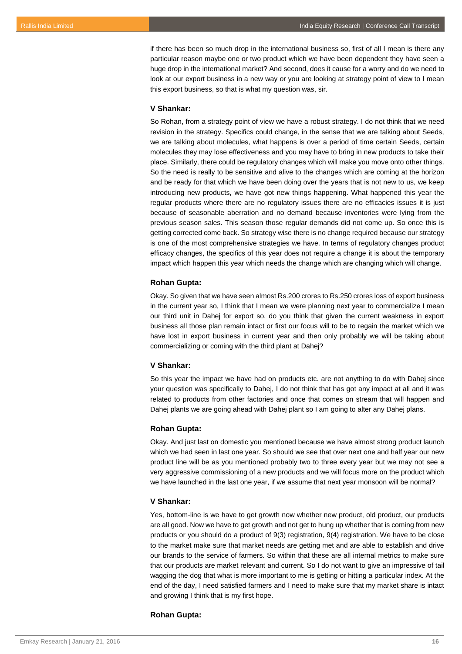if there has been so much drop in the international business so, first of all I mean is there any particular reason maybe one or two product which we have been dependent they have seen a huge drop in the international market? And second, does it cause for a worry and do we need to look at our export business in a new way or you are looking at strategy point of view to I mean this export business, so that is what my question was, sir.

#### **V Shankar:**

So Rohan, from a strategy point of view we have a robust strategy. I do not think that we need revision in the strategy. Specifics could change, in the sense that we are talking about Seeds, we are talking about molecules, what happens is over a period of time certain Seeds, certain molecules they may lose effectiveness and you may have to bring in new products to take their place. Similarly, there could be regulatory changes which will make you move onto other things. So the need is really to be sensitive and alive to the changes which are coming at the horizon and be ready for that which we have been doing over the years that is not new to us, we keep introducing new products, we have got new things happening. What happened this year the regular products where there are no regulatory issues there are no efficacies issues it is just because of seasonable aberration and no demand because inventories were lying from the previous season sales. This season those regular demands did not come up. So once this is getting corrected come back. So strategy wise there is no change required because our strategy is one of the most comprehensive strategies we have. In terms of regulatory changes product efficacy changes, the specifics of this year does not require a change it is about the temporary impact which happen this year which needs the change which are changing which will change.

#### **Rohan Gupta:**

Okay. So given that we have seen almost Rs.200 crores to Rs.250 crores loss of export business in the current year so, I think that I mean we were planning next year to commercialize I mean our third unit in Dahej for export so, do you think that given the current weakness in export business all those plan remain intact or first our focus will to be to regain the market which we have lost in export business in current year and then only probably we will be taking about commercializing or coming with the third plant at Dahej?

#### **V Shankar:**

So this year the impact we have had on products etc. are not anything to do with Dahej since your question was specifically to Dahej, I do not think that has got any impact at all and it was related to products from other factories and once that comes on stream that will happen and Dahej plants we are going ahead with Dahej plant so I am going to alter any Dahej plans.

## **Rohan Gupta:**

Okay. And just last on domestic you mentioned because we have almost strong product launch which we had seen in last one year. So should we see that over next one and half year our new product line will be as you mentioned probably two to three every year but we may not see a very aggressive commissioning of a new products and we will focus more on the product which we have launched in the last one year, if we assume that next year monsoon will be normal?

#### **V Shankar:**

Yes, bottom-line is we have to get growth now whether new product, old product, our products are all good. Now we have to get growth and not get to hung up whether that is coming from new products or you should do a product of 9(3) registration, 9(4) registration. We have to be close to the market make sure that market needs are getting met and are able to establish and drive our brands to the service of farmers. So within that these are all internal metrics to make sure that our products are market relevant and current. So I do not want to give an impressive of tail wagging the dog that what is more important to me is getting or hitting a particular index. At the end of the day, I need satisfied farmers and I need to make sure that my market share is intact and growing I think that is my first hope.

## **Rohan Gupta:**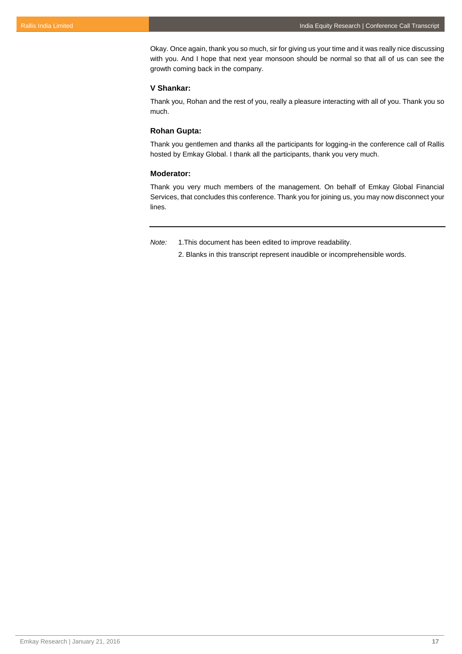Okay. Once again, thank you so much, sir for giving us your time and it was really nice discussing with you. And I hope that next year monsoon should be normal so that all of us can see the growth coming back in the company.

## **V Shankar:**

Thank you, Rohan and the rest of you, really a pleasure interacting with all of you. Thank you so much.

## **Rohan Gupta:**

Thank you gentlemen and thanks all the participants for logging-in the conference call of Rallis hosted by Emkay Global. I thank all the participants, thank you very much.

## **Moderator:**

Thank you very much members of the management. On behalf of Emkay Global Financial Services, that concludes this conference. Thank you for joining us, you may now disconnect your lines.

*Note:* 1.This document has been edited to improve readability.

2. Blanks in this transcript represent inaudible or incomprehensible words.